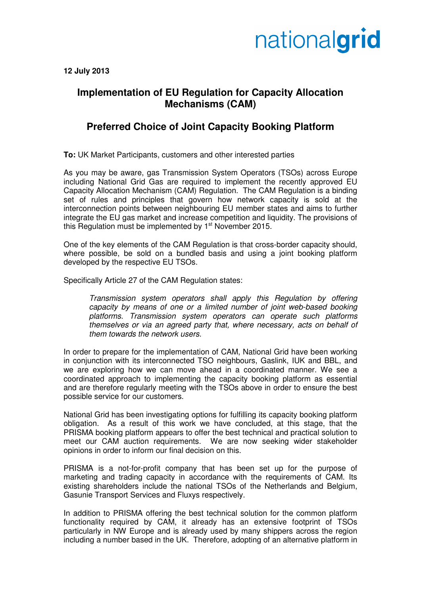# nationalgrid

**12 July 2013** 

### **Implementation of EU Regulation for Capacity Allocation Mechanisms (CAM)**

#### **Preferred Choice of Joint Capacity Booking Platform**

**To:** UK Market Participants, customers and other interested parties

As you may be aware, gas Transmission System Operators (TSOs) across Europe including National Grid Gas are required to implement the recently approved EU Capacity Allocation Mechanism (CAM) Regulation. The CAM Regulation is a binding set of rules and principles that govern how network capacity is sold at the interconnection points between neighbouring EU member states and aims to further integrate the EU gas market and increase competition and liquidity. The provisions of this Regulation must be implemented by 1<sup>st</sup> November 2015.

One of the key elements of the CAM Regulation is that cross-border capacity should, where possible, be sold on a bundled basis and using a joint booking platform developed by the respective EU TSOs.

Specifically Article 27 of the CAM Regulation states:

Transmission system operators shall apply this Regulation by offering capacity by means of one or a limited number of joint web-based booking platforms. Transmission system operators can operate such platforms themselves or via an agreed party that, where necessary, acts on behalf of them towards the network users.

In order to prepare for the implementation of CAM, National Grid have been working in conjunction with its interconnected TSO neighbours, Gaslink, IUK and BBL, and we are exploring how we can move ahead in a coordinated manner. We see a coordinated approach to implementing the capacity booking platform as essential and are therefore regularly meeting with the TSOs above in order to ensure the best possible service for our customers.

National Grid has been investigating options for fulfilling its capacity booking platform obligation. As a result of this work we have concluded, at this stage, that the PRISMA booking platform appears to offer the best technical and practical solution to meet our CAM auction requirements. We are now seeking wider stakeholder opinions in order to inform our final decision on this.

PRISMA is a not-for-profit company that has been set up for the purpose of marketing and trading capacity in accordance with the requirements of CAM. Its existing shareholders include the national TSOs of the Netherlands and Belgium, Gasunie Transport Services and Fluxys respectively.

In addition to PRISMA offering the best technical solution for the common platform functionality required by CAM, it already has an extensive footprint of TSOs particularly in NW Europe and is already used by many shippers across the region including a number based in the UK. Therefore, adopting of an alternative platform in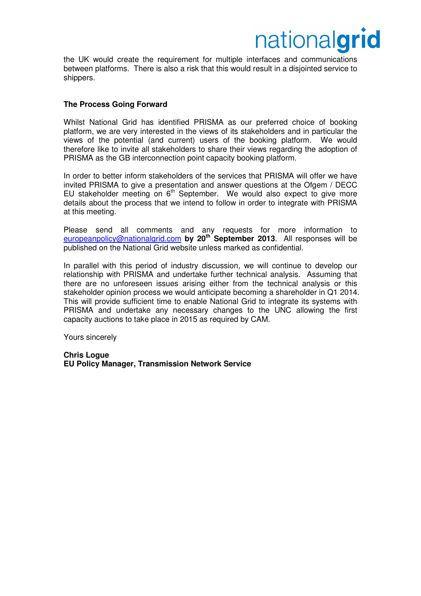## nationalgrid

the UK would create the requirement for multiple interfaces and communications between platforms. There is also a risk that this would result in a disjointed service to shippers.

#### **The Process Going Forward**

Whilst National Grid has identified PRISMA as our preferred choice of booking platform, we are very interested in the views of its stakeholders and in particular the views of the potential (and current) users of the booking platform. We would therefore like to invite all stakeholders to share their views regarding the adoption of PRISMA as the GB interconnection point capacity booking platform.

In order to better inform stakeholders of the services that PRISMA will offer we have invited PRISMA to give a presentation and answer questions at the Ofgem / DECC EU stakeholder meeting on  $6<sup>th</sup>$  September. We would also expect to give more details about the process that we intend to follow in order to integrate with PRISMA at this meeting.

Please send all comments and any requests for more information to europeanpolicy@nationalgrid.com **by 20th September 2013**. All responses will be published on the National Grid website unless marked as confidential.

In parallel with this period of industry discussion, we will continue to develop our relationship with PRISMA and undertake further technical analysis. Assuming that there are no unforeseen issues arising either from the technical analysis or this stakeholder opinion process we would anticipate becoming a shareholder in Q1 2014. This will provide sufficient time to enable National Grid to integrate its systems with PRISMA and undertake any necessary changes to the UNC allowing the first capacity auctions to take place in 2015 as required by CAM.

Yours sincerely

**Chris Logue EU Policy Manager, Transmission Network Service**